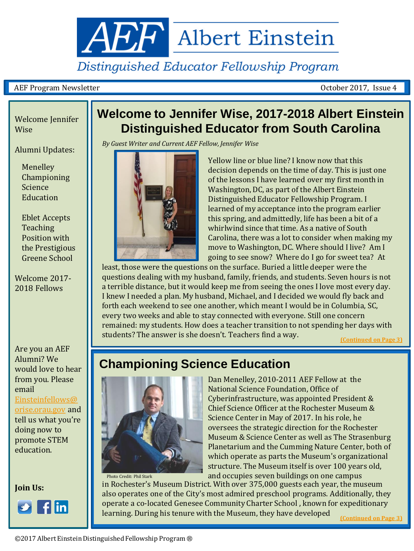

# Distinguished Educator Fellowship Program

### AEF Program Newsletter October 2017, Issue 4

## Welcome Jennifer **Wise**

Alumni Updates:

Menelley Championing Science **Education** 

Eblet Accepts Teaching Position with the Prestigious Greene School

Welcome 2017- 2018 Fellows

Are you an AEF Alumni? We would love to hear from you. Please email [Einsteinfellows@](mailto:Einsteinfellows@orise.orau.gov)

[orise.orau.gov](mailto:Einsteinfellows@orise.orau.gov) and tell us what you're doing now to promote STEM education.

**Join Us:**

<span id="page-0-0"></span>

# **Welcome to Jennifer Wise, 2017-2018 Albert Einstein Distinguished Educator from South Carolina**

*By Guest Writer and Current AEF Fellow, Jennifer Wise* 



Yellow line or blue line? I know now that this decision depends on the time of day. This is just one of the lessons I have learned over my first month in Washington, DC, as part of the Albert Einstein Distinguished Educator Fellowship Program. I learned of my acceptance into the program earlier this spring, and admittedly, life has been a bit of a whirlwind since that time. As a native of South Carolina, there was a lot to consider when making my move to Washington, DC. Where should I live? Am I going to see snow? Where do I go for sweet tea? At

least, those were the questions on the surface. Buried a little deeper were the questions dealing with my husband, family, friends, and students. Seven hours is not a terrible distance, but it would keep me from seeing the ones I love most every day. I knew I needed a plan. My husband, Michael, and I decided we would fly back and forth each weekend to see one another, which meant I would be in Columbia, SC, every two weeks and able to stay connected with everyone. Still one concern remained: my students. How does a teacher transition to not spending her days with students? The answer is she doesn't. Teachers find a way.

**[\(Continued on Page 3\)](#page-2-0)**

# **Championing Science Education**



Photo Credit: Phil Stark

Dan Menelley, 2010-2011 AEF Fellow at the National Science Foundation, Office of Cyberinfrastructure, was appointed President & Chief Science Officer at the Rochester Museum & Science Center in May of 2017. In his role, he oversees the strategic direction for the Rochester Museum & Science Center as well as The Strasenburg Planetarium and the Cumming Nature Center, both of which operate as parts the Museum's organizational structure. The Museum itself is over 100 years old, and occupies seven buildings on one campus

in Rochester's Museum District. With over 375,000 guests each year, the museum also operates one of the City's most admired preschool programs. Additionally, they operate a co-located Genesee Community Charter School , known for expeditionary learning. During his tenure with the Museum, they have developed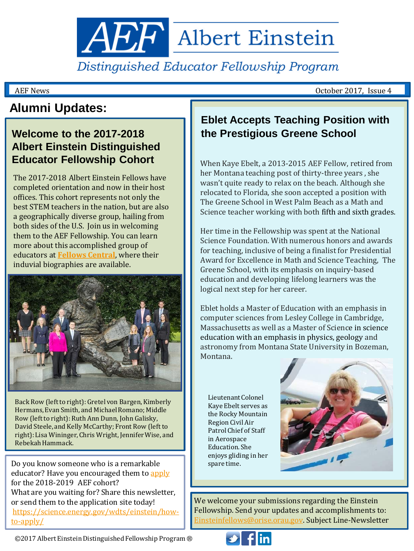**AEF** Albert Einstein

Distinguished Educator Fellowship Program

AEF News October 2017, Issue 4

# **Alumni Updates:**

## **Welcome to the 2017-2018 Albert Einstein Distinguished Educator Fellowship Cohort**

The 2017-2018 Albert Einstein Fellows have completed orientation and now in their host offices. This cohort represents not only the best STEM teachers in the nation, but are also a geographically diverse group, hailing from both sides of the U.S. Join us in welcoming them to the AEF Fellowship. You can learn more about this accomplished group of educators at **[Fellows Central](https://science.energy.gov/wdts/einstein/fellows-central/current-fellows/)**, where their induvial biographies are available.



Back Row (left to right): Gretel von Bargen, Kimberly Hermans, Evan Smith, and Michael Romano; Middle Row (left to right): Ruth Ann Dunn, John Galisky, David Steele, and Kelly McCarthy; Front Row (left to right): Lisa Wininger, Chris Wright, Jennifer Wise, and Rebekah Hammack.

Do you know someone who is a remarkable educator? Have you encouraged them to apply for the 2018-2019 AEF cohort? What are you waiting for? Share this newsletter, or send them to the application site today! [https://science.energy.gov/wdts/einstein/how](https://science.energy.gov/wdts/einstein/how-to-apply/)[to-apply/](https://science.energy.gov/wdts/einstein/how-to-apply/)

## **Eblet Accepts Teaching Position with the Prestigious Greene School**

When Kaye Ebelt, a 2013-2015 AEF Fellow, retired from her Montana teaching post of thirty-three years , she wasn't quite ready to relax on the beach. Although she relocated to Florida, she soon accepted a position with The Greene School in West Palm Beach as a Math and Science teacher working with both fifth and sixth grades.

Her time in the Fellowship was spent at the National Science Foundation. With numerous honors and awards for teaching, inclusive of being a finalist for Presidential Award for Excellence in Math and Science Teaching, The Greene School, with its emphasis on inquiry-based education and developing lifelong learners was the logical next step for her career.

Eblet holds a Master of Education with an emphasis in computer sciences from Lesley College in Cambridge, Massachusetts as well as a Master of Science in science education with an emphasis in physics, geology and astronomy from Montana State University in Bozeman, Montana.

Lieutenant Colonel Kaye Ebelt serves as the Rocky Mountain Region Civil Air Patrol Chief of Staff in Aerospace Education. She enjoys gliding in her spare time.



We welcome your submissions regarding the Einstein Fellowship. Send your updates and accomplishments to: [Einsteinfellows@orise.orau.gov](mailto:Einsteinfellows@orise.orau.gov). Subject Line-Newsletter